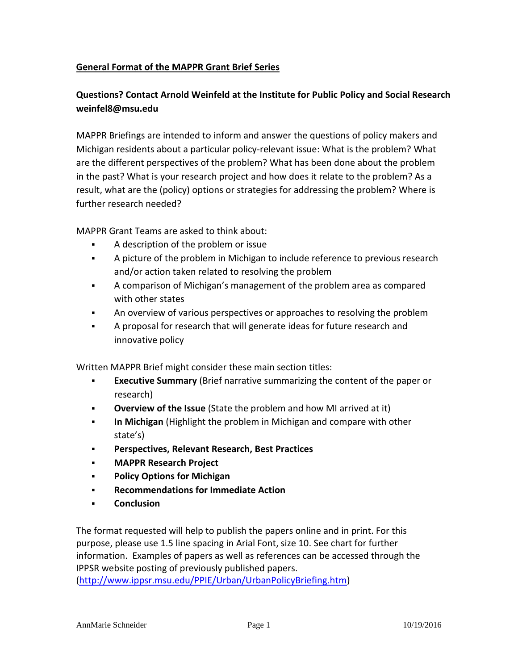## **General Format of the MAPPR Grant Brief Series**

## **Questions? Contact Arnold Weinfeld at the Institute for Public Policy and Social Research weinfel8@msu.edu**

MAPPR Briefings are intended to inform and answer the questions of policy makers and Michigan residents about a particular policy-relevant issue: What is the problem? What are the different perspectives of the problem? What has been done about the problem in the past? What is your research project and how does it relate to the problem? As a result, what are the (policy) options or strategies for addressing the problem? Where is further research needed?

MAPPR Grant Teams are asked to think about:

- A description of the problem or issue
- A picture of the problem in Michigan to include reference to previous research and/or action taken related to resolving the problem
- A comparison of Michigan's management of the problem area as compared with other states
- An overview of various perspectives or approaches to resolving the problem
- A proposal for research that will generate ideas for future research and innovative policy

Written MAPPR Brief might consider these main section titles:

- **Executive Summary** (Brief narrative summarizing the content of the paper or research)
- **Overview of the Issue** (State the problem and how MI arrived at it)
- **In Michigan** (Highlight the problem in Michigan and compare with other state's)
- **Perspectives, Relevant Research, Best Practices**
- **MAPPR Research Project**
- **Policy Options for Michigan**
- **Recommendations for Immediate Action**
- **Conclusion**

The format requested will help to publish the papers online and in print. For this purpose, please use 1.5 line spacing in Arial Font, size 10. See chart for further information. Examples of papers as well as references can be accessed through the IPPSR website posting of previously published papers.

[\(http://www.ippsr.msu.edu/PPIE/Urban/UrbanPolicyBriefing.htm\)](http://www.ippsr.msu.edu/PPIE/Urban/UrbanPolicyBriefing.htm)